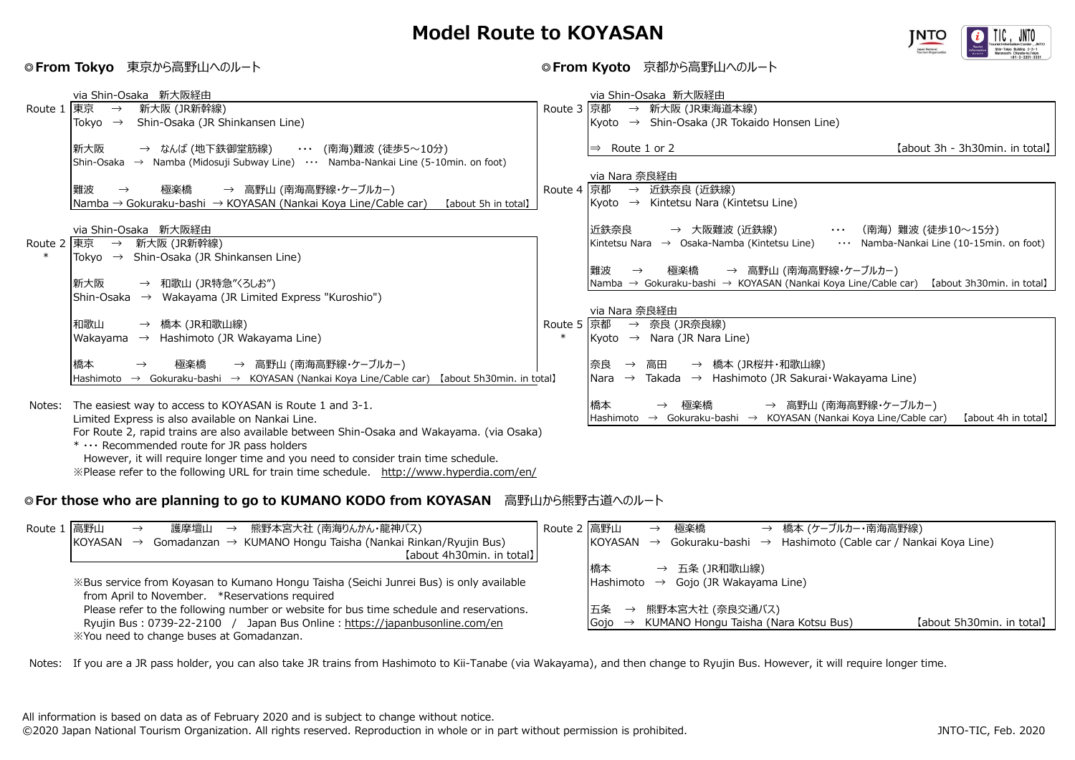## **Model Route to KOYASAN**



## **◎From Tokyo** 東京から高野山へのルート **◎From Kyoto** 京都から高野山へのルート

|            | via Shin-Osaka 新大阪経由                                                                                                      |            | via Shin-Osaka 新大阪経由                                                                                                                       |  |  |  |
|------------|---------------------------------------------------------------------------------------------------------------------------|------------|--------------------------------------------------------------------------------------------------------------------------------------------|--|--|--|
| Route 1    | 東京<br>新大阪 (JR新幹線)<br>$\rightarrow$                                                                                        | Route 3 京都 | → 新大阪 (JR東海道本線)                                                                                                                            |  |  |  |
|            | Shin-Osaka (JR Shinkansen Line)<br>Tokyo $\rightarrow$                                                                    |            | Kyoto $\rightarrow$ Shin-Osaka (JR Tokaido Honsen Line)                                                                                    |  |  |  |
|            |                                                                                                                           |            |                                                                                                                                            |  |  |  |
|            | 新大阪<br>→ なんば (地下鉄御堂筋線)<br>・・・ (南海)難波 (徒歩5〜10分)                                                                            |            | [about 3h - 3h30min. in total]<br>Route 1 or 2<br>$\Rightarrow$                                                                            |  |  |  |
|            | $\rightarrow$ Namba (Midosuji Subway Line) $\cdots$ Namba-Nankai Line (5-10min. on foot)<br>Shin-Osaka                    |            |                                                                                                                                            |  |  |  |
|            |                                                                                                                           |            | via Nara 奈良経由                                                                                                                              |  |  |  |
|            | 難波<br>→ 高野山 (南海高野線・ケーブルカー)<br>極楽橋                                                                                         | Route 4 京都 | → 近鉄奈良 (近鉄線)                                                                                                                               |  |  |  |
|            | Namba → Gokuraku-bashi → KOYASAN (Nankai Koya Line/Cable car)<br>【about 5h in total】                                      |            | $\rightarrow$ Kintetsu Nara (Kintetsu Line)<br>Kvoto                                                                                       |  |  |  |
|            |                                                                                                                           |            |                                                                                                                                            |  |  |  |
|            | via Shin-Osaka 新大阪経由                                                                                                      |            | 近鉄奈良<br>→ 大阪難波 (近鉄線)<br>(南海)難波 (徒歩10~15分)<br>$\ldots$                                                                                      |  |  |  |
| Route 2 東京 | 新大阪 (JR新幹線)<br>$\rightarrow$<br>Tokvo<br>$\rightarrow$                                                                    |            | Namba-Nankai Line (10-15min. on foot)<br>Kintetsu Nara → Osaka-Namba (Kintetsu Line)                                                       |  |  |  |
|            | Shin-Osaka (JR Shinkansen Line)                                                                                           |            | 難波                                                                                                                                         |  |  |  |
|            | 新大阪                                                                                                                       |            | → 高野山 (南海高野線・ケーブルカー)<br>極楽橋<br>$\rightarrow$<br>Namba → Gokuraku-bashi → KOYASAN (Nankai Koya Line/Cable car)<br>【about 3h30min. in total】 |  |  |  |
|            | → 和歌山 (JR特急"くろしお")<br>$\rightarrow$ Wakayama (JR Limited Express "Kuroshio")<br>Shin-Osaka                                |            |                                                                                                                                            |  |  |  |
|            |                                                                                                                           |            | via Nara 奈良経由                                                                                                                              |  |  |  |
|            | 和歌山<br>→ 橋本 (JR和歌山線)                                                                                                      | Route 5 京都 | → 奈良 (JR奈良線)                                                                                                                               |  |  |  |
|            | Wakayama $\rightarrow$ Hashimoto (JR Wakayama Line)                                                                       |            | Kyoto $\rightarrow$ Nara (JR Nara Line)                                                                                                    |  |  |  |
|            |                                                                                                                           |            |                                                                                                                                            |  |  |  |
|            | 橋本<br>→ 高野山 (南海高野線・ケーブルカー)<br>極楽橋<br>$\rightarrow$                                                                        |            | 奈良<br>→ 橋本 (JR桜井・和歌山線)<br>高田<br>$\rightarrow$                                                                                              |  |  |  |
|            | $\rightarrow$ KOYASAN (Nankai Koya Line/Cable car) [about 5h30min. in total]<br>$\rightarrow$ Gokuraku-bashi<br>Hashimoto |            | Nara $\rightarrow$ Takada $\rightarrow$ Hashimoto (JR Sakurai·Wakayama Line)                                                               |  |  |  |
|            |                                                                                                                           |            |                                                                                                                                            |  |  |  |
|            | Notes: The easiest way to access to KOYASAN is Route 1 and 3-1.                                                           |            | → 高野山 (南海高野線・ケーブルカー)<br>橋本<br>極楽橋<br>$\rightarrow$                                                                                         |  |  |  |
|            | Limited Express is also available on Nankai Line.                                                                         |            | KOYASAN (Nankai Koya Line/Cable car)<br>Hashimoto $\rightarrow$ Gokuraku-bashi $\rightarrow$<br>(about 4h in total)                        |  |  |  |
|            | For Route 2, rapid trains are also available between Shin-Osaka and Wakayama. (via Osaka)                                 |            |                                                                                                                                            |  |  |  |

 $* \cdots$  Recommended route for JR pass holders

However, it will require longer time and you need to consider train time schedule.

※Please refer to the following URL for train time schedule. http://www.hyperdia.com/en/

## **◎For those who are planning to go to KUMANO KODO from KOYASAN** 高野山から熊野古道へのルート

| Route 1 高野山 | 熊野本宮大社 (南海りんかん・龍神バス)<br>護摩壇山<br>$\rightarrow$                                           | Route 2 高野山 |                  | $\rightarrow$ | 極楽橋                          | → 橋本 (ケーブルカー・南海高野線)                                             |                           |
|-------------|-----------------------------------------------------------------------------------------|-------------|------------------|---------------|------------------------------|-----------------------------------------------------------------|---------------------------|
|             | Gomadanzan → KUMANO Hongu Taisha (Nankai Rinkan/Ryujin Bus)<br>KOYASAN<br>$\rightarrow$ |             | KOYASAN          | $\rightarrow$ | Gokuraku-bashi $\rightarrow$ | Hashimoto (Cable car / Nankai Koya Line)                        |                           |
|             | [about 4h30min. in total]                                                               |             |                  |               |                              |                                                                 |                           |
|             |                                                                                         |             | 橋本               |               | → 五条(JR和歌山線)                 |                                                                 |                           |
|             | ※Bus service from Koyasan to Kumano Hongu Taisha (Seichi Junrei Bus) is only available  |             | <b>Hashimoto</b> | $\rightarrow$ | Gojo (JR Wakayama Line)      |                                                                 |                           |
|             | from April to November. *Reservations required                                          |             |                  |               |                              |                                                                 |                           |
|             | Please refer to the following number or website for bus time schedule and reservations. |             | 五条               |               | → 熊野本宮大社 (奈良交通バス)            |                                                                 |                           |
|             | Ryujin Bus: 0739-22-2100 / Japan Bus Online: https://japanbusonline.com/en              |             |                  |               |                              | $\vert$ Gojo $\rightarrow$ KUMANO Hongu Taisha (Nara Kotsu Bus) | [about 5h30min. in total] |
|             | XYou need to change buses at Gomadanzan.                                                |             |                  |               |                              |                                                                 |                           |

Notes: If you are a JR pass holder, you can also take JR trains from Hashimoto to Kii-Tanabe (via Wakayama), and then change to Ryujin Bus. However, it will require longer time.